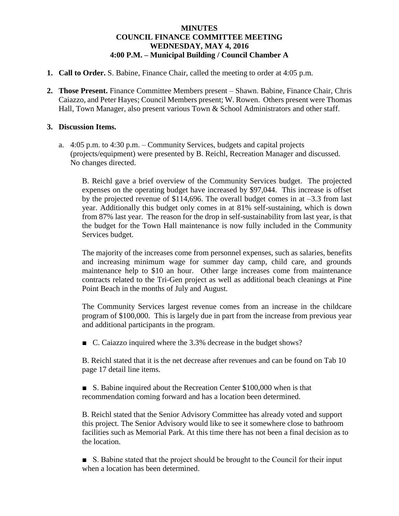## **MINUTES COUNCIL FINANCE COMMITTEE MEETING WEDNESDAY, MAY 4, 2016 4:00 P.M. – Municipal Building / Council Chamber A**

- **1. Call to Order.** S. Babine, Finance Chair, called the meeting to order at 4:05 p.m.
- **2. Those Present.** Finance Committee Members present Shawn. Babine, Finance Chair, Chris Caiazzo, and Peter Hayes; Council Members present; W. Rowen. Others present were Thomas Hall, Town Manager, also present various Town & School Administrators and other staff.

## **3. Discussion Items.**

a. 4:05 p.m. to 4:30 p.m. – Community Services, budgets and capital projects (projects/equipment) were presented by B. Reichl, Recreation Manager and discussed. No changes directed.

B. Reichl gave a brief overview of the Community Services budget. The projected expenses on the operating budget have increased by \$97,044. This increase is offset by the projected revenue of  $$114,696$ . The overall budget comes in at  $-3.3$  from last year. Additionally this budget only comes in at 81% self-sustaining, which is down from 87% last year. The reason for the drop in self-sustainability from last year, is that the budget for the Town Hall maintenance is now fully included in the Community Services budget.

The majority of the increases come from personnel expenses, such as salaries, benefits and increasing minimum wage for summer day camp, child care, and grounds maintenance help to \$10 an hour. Other large increases come from maintenance contracts related to the Tri-Gen project as well as additional beach cleanings at Pine Point Beach in the months of July and August.

The Community Services largest revenue comes from an increase in the childcare program of \$100,000. This is largely due in part from the increase from previous year and additional participants in the program.

■ C. Caiazzo inquired where the 3.3% decrease in the budget shows?

B. Reichl stated that it is the net decrease after revenues and can be found on Tab 10 page 17 detail line items.

■ S. Babine inquired about the Recreation Center \$100,000 when is that recommendation coming forward and has a location been determined.

B. Reichl stated that the Senior Advisory Committee has already voted and support this project. The Senior Advisory would like to see it somewhere close to bathroom facilities such as Memorial Park. At this time there has not been a final decision as to the location.

■ S. Babine stated that the project should be brought to the Council for their input when a location has been determined.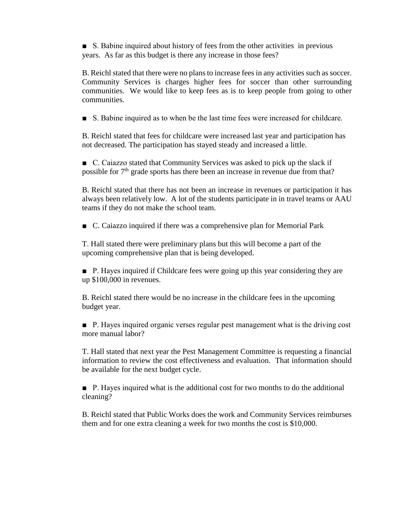■ S. Babine inquired about history of fees from the other activities in previous years. As far as this budget is there any increase in those fees?

B. Reichl stated that there were no plans to increase fees in any activities such as soccer. Community Services is charges higher fees for soccer than other surrounding communities. We would like to keep fees as is to keep people from going to other communities.

■ S. Babine inquired as to when be the last time fees were increased for childcare.

B. Reichl stated that fees for childcare were increased last year and participation has not decreased. The participation has stayed steady and increased a little.

■ C. Caiazzo stated that Community Services was asked to pick up the slack if possible for  $7<sup>th</sup>$  grade sports has there been an increase in revenue due from that?

B. Reichl stated that there has not been an increase in revenues or participation it has always been relatively low. A lot of the students participate in in travel teams or AAU teams if they do not make the school team.

■ C. Caiazzo inquired if there was a comprehensive plan for Memorial Park

T. Hall stated there were preliminary plans but this will become a part of the upcoming comprehensive plan that is being developed.

■ P. Hayes inquired if Childcare fees were going up this year considering they are up \$100,000 in revenues.

B. Reichl stated there would be no increase in the childcare fees in the upcoming budget year.

■ P. Hayes inquired organic verses regular pest management what is the driving cost more manual labor?

T. Hall stated that next year the Pest Management Committee is requesting a financial information to review the cost effectiveness and evaluation. That information should be available for the next budget cycle.

■ P. Hayes inquired what is the additional cost for two months to do the additional cleaning?

B. Reichl stated that Public Works does the work and Community Services reimburses them and for one extra cleaning a week for two months the cost is \$10,000.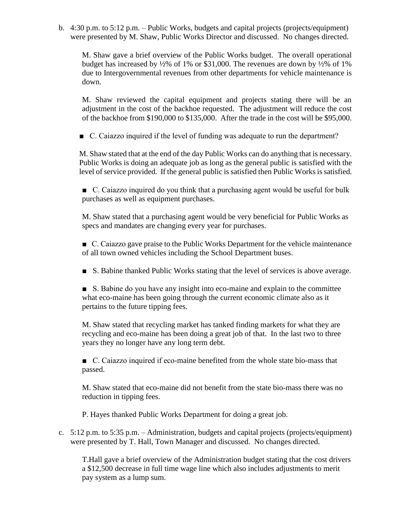b. 4:30 p.m. to 5:12 p.m. – Public Works, budgets and capital projects (projects/equipment) were presented by M. Shaw, Public Works Director and discussed. No changes directed.

M. Shaw gave a brief overview of the Public Works budget. The overall operational budget has increased by ½% of 1% or \$31,000. The revenues are down by ½% of 1% due to Intergovernmental revenues from other departments for vehicle maintenance is down.

M. Shaw reviewed the capital equipment and projects stating there will be an adjustment in the cost of the backhoe requested. The adjustment will reduce the cost of the backhoe from \$190,000 to \$135,000. After the trade in the cost will be \$95,000.

■ C. Caiazzo inquired if the level of funding was adequate to run the department?

M. Shaw stated that at the end of the day Public Works can do anything that is necessary. Public Works is doing an adequate job as long as the general public is satisfied with the level of service provided. If the general public is satisfied then Public Works is satisfied.

■ C. Caiazzo inquired do you think that a purchasing agent would be useful for bulk purchases as well as equipment purchases.

M. Shaw stated that a purchasing agent would be very beneficial for Public Works as specs and mandates are changing every year for purchases.

■ C. Caiazzo gave praise to the Public Works Department for the vehicle maintenance of all town owned vehicles including the School Department buses.

■ S. Babine thanked Public Works stating that the level of services is above average.

■ S. Babine do you have any insight into eco-maine and explain to the committee what eco-maine has been going through the current economic climate also as it pertains to the future tipping fees.

M. Shaw stated that recycling market has tanked finding markets for what they are recycling and eco-maine has been doing a great job of that. In the last two to three years they no longer have any long term debt.

■ C. Caiazzo inquired if eco-maine benefited from the whole state bio-mass that passed.

M. Shaw stated that eco-maine did not benefit from the state bio-mass there was no reduction in tipping fees.

P. Hayes thanked Public Works Department for doing a great job.

c. 5:12 p.m. to 5:35 p.m. – Administration, budgets and capital projects (projects/equipment) were presented by T. Hall, Town Manager and discussed. No changes directed.

T.Hall gave a brief overview of the Administration budget stating that the cost drivers a \$12,500 decrease in full time wage line which also includes adjustments to merit pay system as a lump sum.